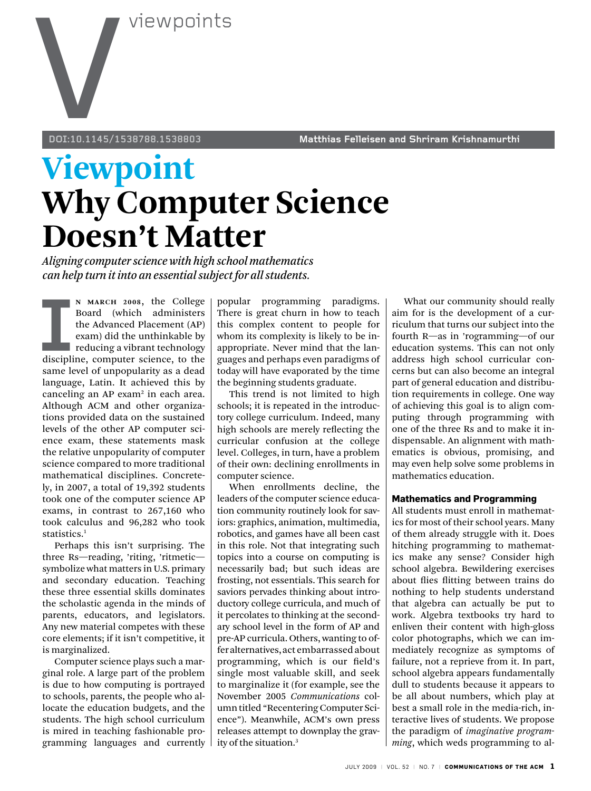

**doi:10.1145/1538788.1538803 Matthias Felleisen and Shriram Krishnamurthi** 

# **Viewpoint Why Computer Science Doesn't Matter**

*Aligning computer science with high school mathematics can help turn it into an essential subject for all students.* 

**II** MARCH 2008, the College<br>
Board (which administers<br>
the Advanced Placement (AP)<br>
exam) did the unthinkable by<br>
reducing a vibrant technology<br>
discipline, computer science, to the<br>
sema lovel of unnopularity as a doad **n March 2008**, the College Board (which administers the Advanced Placement (AP) exam) did the unthinkable by **reducing a vibrant technology** same level of unpopularity as a dead language, Latin. It achieved this by canceling an AP exam<sup>2</sup> in each area. Although ACM and other organizations provided data on the sustained levels of the other AP computer science exam, these statements mask the relative unpopularity of computer science compared to more traditional mathematical disciplines. Concretely, in 2007, a total of 19,392 students took one of the computer science AP exams, in contrast to 267,160 who took calculus and 96,282 who took statistics. 1

Perhaps this isn't surprising. The three Rs—reading, 'riting, 'ritmetic symbolize what matters in U.S. primary and secondary education. Teaching these three essential skills dominates the scholastic agenda in the minds of parents, educators, and legislators. Any new material competes with these core elements; if it isn't competitive, it is marginalized.

Computer science plays such a marginal role. A large part of the problem is due to how computing is portrayed to schools, parents, the people who allocate the education budgets, and the students. The high school curriculum is mired in teaching fashionable programming languages and currently popular programming paradigms. There is great churn in how to teach this complex content to people for whom its complexity is likely to be inappropriate. Never mind that the languages and perhaps even paradigms of today will have evaporated by the time the beginning students graduate.

This trend is not limited to high schools; it is repeated in the introductory college curriculum. Indeed, many high schools are merely reflecting the curricular confusion at the college level. Colleges, in turn, have a problem of their own: declining enrollments in computer science.

When enrollments decline, the leaders of the computer science education community routinely look for saviors: graphics, animation, multimedia, robotics, and games have all been cast in this role. Not that integrating such topics into a course on computing is necessarily bad; but such ideas are frosting, not essentials. This search for saviors pervades thinking about introductory college curricula, and much of it percolates to thinking at the secondary school level in the form of AP and pre-AP curricula. Others, wanting to offer alternatives, act embarrassed about programming, which is our field's single most valuable skill, and seek to marginalize it (for example, see the November 2005 *Communications* column titled "Recentering Computer Science"). Meanwhile, ACM's own press releases attempt to downplay the gravity of the situation.3

What our community should really aim for is the development of a curriculum that turns our subject into the fourth R—as in 'rogramming—of our education systems. This can not only address high school curricular concerns but can also become an integral part of general education and distribution requirements in college. One way of achieving this goal is to align computing through programming with one of the three Rs and to make it indispensable. An alignment with mathematics is obvious, promising, and may even help solve some problems in mathematics education.

#### **Mathematics and Programming**

All students must enroll in mathematics for most of their school years. Many of them already struggle with it. Does hitching programming to mathematics make any sense? Consider high school algebra. Bewildering exercises about flies flitting between trains do nothing to help students understand that algebra can actually be put to work. Algebra textbooks try hard to enliven their content with high-gloss color photographs, which we can immediately recognize as symptoms of failure, not a reprieve from it. In part, school algebra appears fundamentally dull to students because it appears to be all about numbers, which play at best a small role in the media-rich, interactive lives of students. We propose the paradigm of *imaginative programming*, which weds programming to al-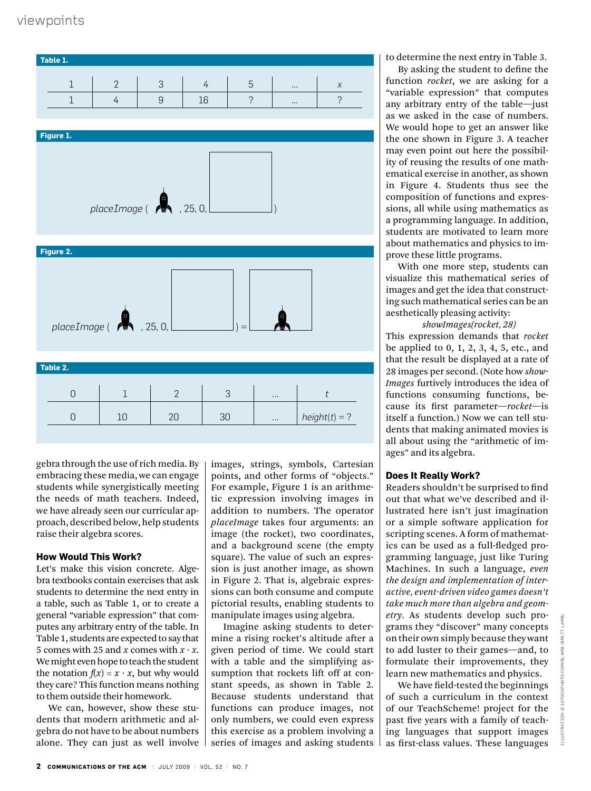

gebra through the use of rich media. By embracing these media, we can engage students while synergistically meeting the needs of math teachers. Indeed, we have already seen our curricular approach, described below, help students raise their algebra scores.

# **How Would This Work?**

Let's make this vision concrete. Algebra textbooks contain exercises that ask students to determine the next entry in a table, such as Table 1, or to create a general "variable expression" that computes any arbitrary entry of the table. In Table 1, students are expected to say that 5 comes with 25 and *x* comes with  $x \cdot x$ . We might even hope to teach the student the notation  $f(x) = x \cdot x$ , but why would they care? This function means nothing to them outside their homework.

We can, however, show these students that modern arithmetic and algebra do not have to be about numbers alone. They can just as well involve images, strings, symbols, Cartesian points, and other forms of "objects." For example, Figure 1 is an arithmetic expression involving images in addition to numbers. The operator *placeImage* takes four arguments: an image (the rocket), two coordinates, and a background scene (the empty square). The value of such an expression is just another image, as shown in Figure 2. That is, algebraic expressions can both consume and compute pictorial results, enabling students to manipulate images using algebra.

Imagine asking students to determine a rising rocket's altitude after a given period of time. We could start with a table and the simplifying assumption that rockets lift off at constant speeds, as shown in Table 2. Because students understand that functions can produce images, not only numbers, we could even express this exercise as a problem involving a series of images and asking students to determine the next entry in Table 3.

By asking the student to define the function *rocket*, we are asking for a "variable expression" that computes any arbitrary entry of the table—just as we asked in the case of numbers. We would hope to get an answer like the one shown in Figure 3. A teacher may even point out here the possibility of reusing the results of one mathematical exercise in another, as shown in Figure 4. Students thus see the composition of functions and expressions, all while using mathematics as a programming language. In addition, students are motivated to learn more about mathematics and physics to improve these little programs.

With one more step, students can visualize this mathematical series of images and get the idea that constructing such mathematical series can be an aesthetically pleasing activity:

*showImages(rocket, 28)*

This expression demands that *rocket* be applied to 0, 1, 2, 3, 4, 5, etc., and that the result be displayed at a rate of 28 images per second. (Note how *show-Images* furtively introduces the idea of functions consuming functions, because its first parameter—*rocket*—is itself a function.) Now we can tell students that making animated movies is all about using the "arithmetic of images" and its algebra.

# **Does It Really Work?**

Readers shouldn't be surprised to find out that what we've described and illustrated here isn't just imagination or a simple software application for scripting scenes. A form of mathematics can be used as a full-fledged programming language, just like Turing Machines. In such a language, *even the design and implementation of interactive, event-driven video games doesn't take much more than algebra and geometry*. As students develop such programs they "discover" many concepts on their own simply because they want to add luster to their games—and, to formulate their improvements, they learn new mathematics and physics.

We have field-tested the beginnings of such a curriculum in the context of our TeachScheme! project for the past five years with a family of teaching languages that support images as first-class values. These languages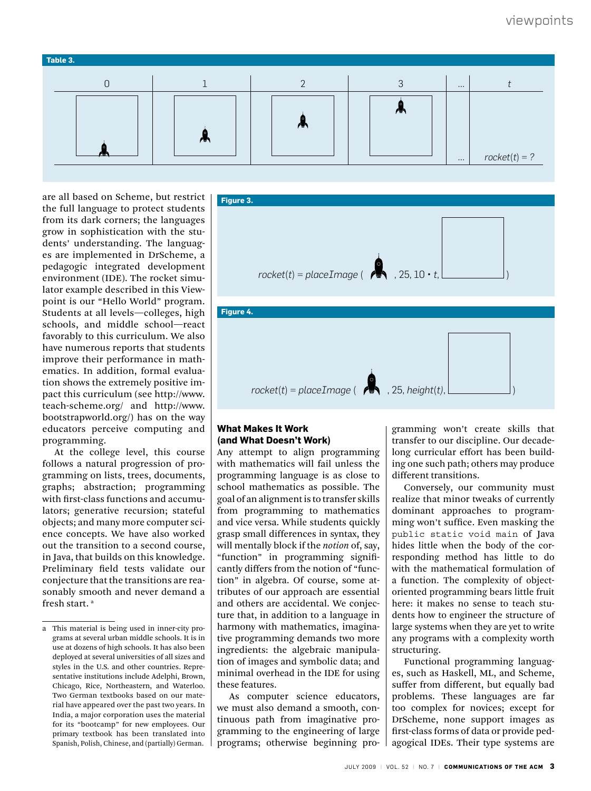

are all based on Scheme, but restrict the full language to protect students from its dark corners; the languages grow in sophistication with the students' understanding. The languages are implemented in DrScheme, a pedagogic integrated development environment (IDE). The rocket simulator example described in this Viewpoint is our "Hello World" program. Students at all levels—colleges, high schools, and middle school—react favorably to this curriculum. We also have numerous reports that students improve their performance in mathematics. In addition, formal evaluation shows the extremely positive impact this curriculum (see http://www. teach-scheme.org/ and http://www. bootstrapworld.org/) has on the way educators perceive computing and programming.

At the college level, this course follows a natural progression of programming on lists, trees, documents, graphs; abstraction; programming with first-class functions and accumulators; generative recursion; stateful objects; and many more computer science concepts. We have also worked out the transition to a second course, in Java, that builds on this knowledge. Preliminary field tests validate our conjecture that the transitions are reasonably smooth and never demand a fresh start. a



#### **What Makes It Work (and What Doesn't Work)**

Any attempt to align programming with mathematics will fail unless the programming language is as close to school mathematics as possible. The goal of an alignment is to transfer skills from programming to mathematics and vice versa. While students quickly grasp small differences in syntax, they will mentally block if the *notion* of, say, "function" in programming significantly differs from the notion of "function" in algebra. Of course, some attributes of our approach are essential and others are accidental. We conjecture that, in addition to a language in harmony with mathematics, imaginative programming demands two more ingredients: the algebraic manipulation of images and symbolic data; and minimal overhead in the IDE for using these features.

As computer science educators, we must also demand a smooth, continuous path from imaginative programming to the engineering of large programs; otherwise beginning programming won't create skills that transfer to our discipline. Our decadelong curricular effort has been building one such path; others may produce different transitions.

Conversely, our community must realize that minor tweaks of currently dominant approaches to programming won't suffice. Even masking the public static void main of Java hides little when the body of the corresponding method has little to do with the mathematical formulation of a function. The complexity of objectoriented programming bears little fruit here: it makes no sense to teach students how to engineer the structure of large systems when they are yet to write any programs with a complexity worth structuring.

Functional programming languages, such as Haskell, ML, and Scheme, suffer from different, but equally bad problems. These languages are far too complex for novices; except for DrScheme, none support images as first-class forms of data or provide pedagogical IDEs. Their type systems are

a This material is being used in inner-city programs at several urban middle schools. It is in use at dozens of high schools. It has also been deployed at several universities of all sizes and styles in the U.S. and other countries. Representative institutions include Adelphi, Brown, Chicago, Rice, Northeastern, and Waterloo. Two German textbooks based on our material have appeared over the past two years. In India, a major corporation uses the material for its "bootcamp" for new employees. Our primary textbook has been translated into Spanish, Polish, Chinese, and (partially) German.